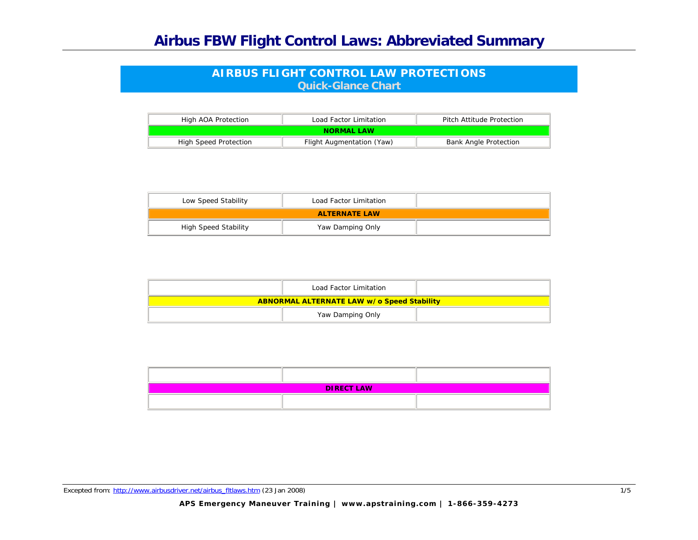## **Airbus FBW Flight Control Laws: Abbreviated Summary**

## **AIRBUS FLIGHT CONTROL LAW PROTECTIONS Quick-Glance Chart**

| High AOA Protection   | Load Factor Limitation    | Pitch Attitude Protection    |
|-----------------------|---------------------------|------------------------------|
|                       | NORMAL LAW                |                              |
| High Speed Protection | Flight Augmentation (Yaw) | <b>Bank Angle Protection</b> |

| Low Speed Stability         | Load Factor Limitation |  |
|-----------------------------|------------------------|--|
|                             | <b>ALTERNATE LAW</b>   |  |
| <b>High Speed Stability</b> | Yaw Damping Only       |  |

| Load Factor Limitation                            |  |
|---------------------------------------------------|--|
| <b>ABNORMAL ALTERNATE LAW w/o Speed Stability</b> |  |
| Yaw Damping Only                                  |  |

| <b>DIRECT LAW</b> |  |  |
|-------------------|--|--|
|                   |  |  |

Excepted from: http://www.airbusdriver.net/airbus\_fitlaws.htm (23 Jan 2008) 1/5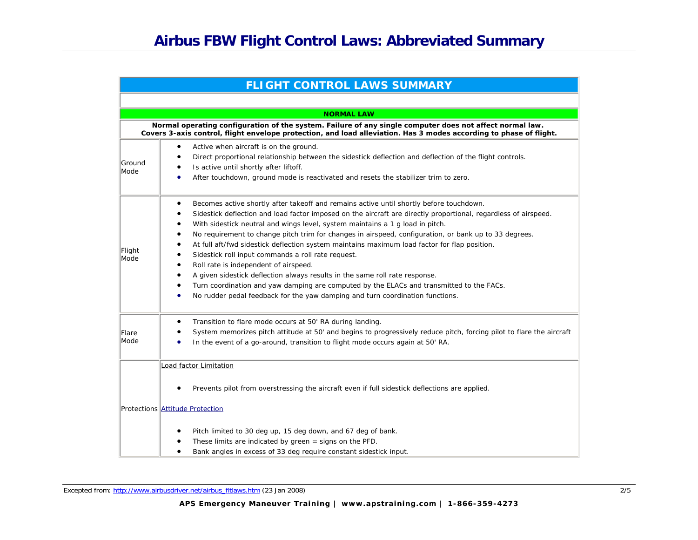|                | <b>FLIGHT CONTROL LAWS SUMMARY</b>                                                                                                                                                                                                                                                                                                                                                                                                                                                                                                                                                                                                                                                                                                                                                                                                                                                |
|----------------|-----------------------------------------------------------------------------------------------------------------------------------------------------------------------------------------------------------------------------------------------------------------------------------------------------------------------------------------------------------------------------------------------------------------------------------------------------------------------------------------------------------------------------------------------------------------------------------------------------------------------------------------------------------------------------------------------------------------------------------------------------------------------------------------------------------------------------------------------------------------------------------|
|                |                                                                                                                                                                                                                                                                                                                                                                                                                                                                                                                                                                                                                                                                                                                                                                                                                                                                                   |
|                | <b>NORMAL LAW</b>                                                                                                                                                                                                                                                                                                                                                                                                                                                                                                                                                                                                                                                                                                                                                                                                                                                                 |
|                | Normal operating configuration of the system. Failure of any single computer does not affect normal law.<br>Covers 3-axis control, flight envelope protection, and load alleviation. Has 3 modes according to phase of flight.                                                                                                                                                                                                                                                                                                                                                                                                                                                                                                                                                                                                                                                    |
| Ground<br>Mode | Active when aircraft is on the ground.<br>٠<br>Direct proportional relationship between the sidestick deflection and deflection of the flight controls.<br>٠<br>Is active until shortly after liftoff.<br>After touchdown, ground mode is reactivated and resets the stabilizer trim to zero.                                                                                                                                                                                                                                                                                                                                                                                                                                                                                                                                                                                     |
| Flight<br>Mode | Becomes active shortly after takeoff and remains active until shortly before touchdown.<br>٠<br>Sidestick deflection and load factor imposed on the aircraft are directly proportional, regardless of airspeed.<br>With sidestick neutral and wings level, system maintains a 1 g load in pitch.<br>No requirement to change pitch trim for changes in airspeed, configuration, or bank up to 33 degrees.<br>$\bullet$<br>At full aft/fwd sidestick deflection system maintains maximum load factor for flap position.<br>Sidestick roll input commands a roll rate request.<br>Roll rate is independent of airspeed.<br>A given sidestick deflection always results in the same roll rate response.<br>Turn coordination and yaw damping are computed by the ELACs and transmitted to the FACs.<br>No rudder pedal feedback for the yaw damping and turn coordination functions. |
| Flare<br>Mode  | Transition to flare mode occurs at 50' RA during landing.<br>٠<br>System memorizes pitch attitude at 50' and begins to progressively reduce pitch, forcing pilot to flare the aircraft<br>In the event of a go-around, transition to flight mode occurs again at 50' RA.                                                                                                                                                                                                                                                                                                                                                                                                                                                                                                                                                                                                          |
|                | Load factor Limitation                                                                                                                                                                                                                                                                                                                                                                                                                                                                                                                                                                                                                                                                                                                                                                                                                                                            |
|                | Prevents pilot from overstressing the aircraft even if full sidestick deflections are applied.                                                                                                                                                                                                                                                                                                                                                                                                                                                                                                                                                                                                                                                                                                                                                                                    |
|                | Protections Attitude Protection                                                                                                                                                                                                                                                                                                                                                                                                                                                                                                                                                                                                                                                                                                                                                                                                                                                   |
|                | Pitch limited to 30 deg up, 15 deg down, and 67 deg of bank.<br>These limits are indicated by green $=$ signs on the PFD.<br>Bank angles in excess of 33 deg require constant sidestick input.<br>$\bullet$                                                                                                                                                                                                                                                                                                                                                                                                                                                                                                                                                                                                                                                                       |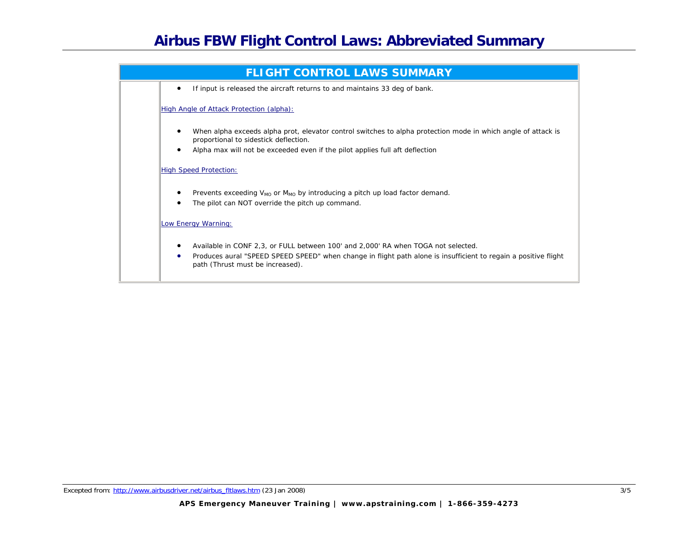

Excepted from: http://www.airbusdriver.net/airbus\_fitlaws.htm (23 Jan 2008) 3/5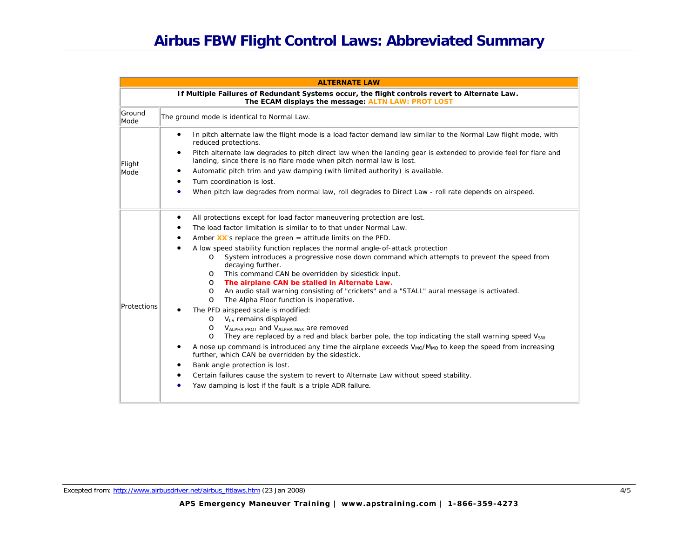## **Airbus FBW Flight Control Laws: Abbreviated Summary**

| <b>ALTERNATE LAW</b> |                                                                                                                                                                                                                                                                                                                                                                                                                                                                                                                                                                                                                                                                                                                                                                                                                                                                                                                                                                                                                                                                                                                                                                                                                                                                                                                                                                                                   |  |
|----------------------|---------------------------------------------------------------------------------------------------------------------------------------------------------------------------------------------------------------------------------------------------------------------------------------------------------------------------------------------------------------------------------------------------------------------------------------------------------------------------------------------------------------------------------------------------------------------------------------------------------------------------------------------------------------------------------------------------------------------------------------------------------------------------------------------------------------------------------------------------------------------------------------------------------------------------------------------------------------------------------------------------------------------------------------------------------------------------------------------------------------------------------------------------------------------------------------------------------------------------------------------------------------------------------------------------------------------------------------------------------------------------------------------------|--|
|                      | If Multiple Failures of Redundant Systems occur, the flight controls revert to Alternate Law.<br>The ECAM displays the message: ALTN LAW: PROT LOST                                                                                                                                                                                                                                                                                                                                                                                                                                                                                                                                                                                                                                                                                                                                                                                                                                                                                                                                                                                                                                                                                                                                                                                                                                               |  |
| Ground<br>Mode       | The ground mode is identical to Normal Law.                                                                                                                                                                                                                                                                                                                                                                                                                                                                                                                                                                                                                                                                                                                                                                                                                                                                                                                                                                                                                                                                                                                                                                                                                                                                                                                                                       |  |
| Flight<br>Mode       | In pitch alternate law the flight mode is a load factor demand law similar to the Normal Law flight mode, with<br>$\bullet$<br>reduced protections.<br>Pitch alternate law degrades to pitch direct law when the landing gear is extended to provide feel for flare and<br>$\bullet$<br>landing, since there is no flare mode when pitch normal law is lost.<br>Automatic pitch trim and yaw damping (with limited authority) is available.<br>Turn coordination is lost.                                                                                                                                                                                                                                                                                                                                                                                                                                                                                                                                                                                                                                                                                                                                                                                                                                                                                                                         |  |
|                      | When pitch law degrades from normal law, roll degrades to Direct Law - roll rate depends on airspeed.                                                                                                                                                                                                                                                                                                                                                                                                                                                                                                                                                                                                                                                                                                                                                                                                                                                                                                                                                                                                                                                                                                                                                                                                                                                                                             |  |
| Protections          | All protections except for load factor maneuvering protection are lost.<br>٠<br>The load factor limitation is similar to to that under Normal Law.<br>Amber $XX'$ s replace the green = attitude limits on the PFD.<br>A low speed stability function replaces the normal angle-of-attack protection<br>System introduces a progressive nose down command which attempts to prevent the speed from<br>$\circ$<br>decaying further.<br>This command CAN be overridden by sidestick input.<br>$\circ$<br>The airplane CAN be stalled in Alternate Law.<br>$\circ$<br>An audio stall warning consisting of "crickets" and a "STALL" aural message is activated.<br>$\circ$<br>The Alpha Floor function is inoperative.<br>$\circ$<br>The PFD airspeed scale is modified:<br>$O$ V <sub>LS</sub> remains displayed<br>V <sub>ALPHA</sub> PROT and V <sub>ALPHA MAX</sub> are removed<br>$\circ$<br>They are replaced by a red and black barber pole, the top indicating the stall warning speed $V_{SW}$<br>$\circ$<br>A nose up command is introduced any time the airplane exceeds V <sub>MO</sub> /M <sub>MO</sub> to keep the speed from increasing<br>further, which CAN be overridden by the sidestick.<br>Bank angle protection is lost.<br>Certain failures cause the system to revert to Alternate Law without speed stability.<br>Yaw damping is lost if the fault is a triple ADR failure. |  |

Excepted from: http://www.airbusdriver.net/airbus\_fitlaws.htm (23 Jan 2008) 4/5